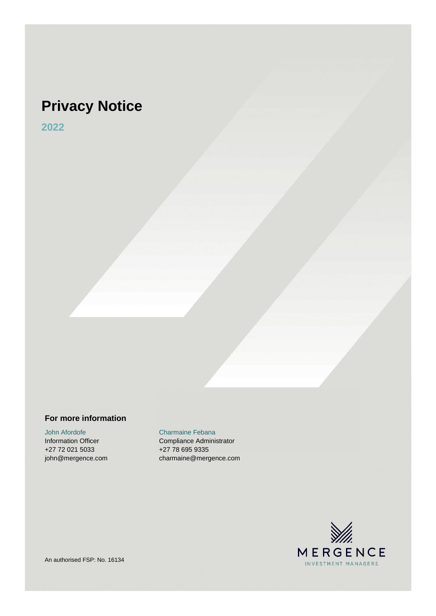# **Privacy Notice**

**2022**

#### **For more information**

John Afordofe Charmaine Febana +27 72 021 5033 +27 78 695 9335

Information Officer Compliance Administrator john@mergence.com charmaine@mergence.com

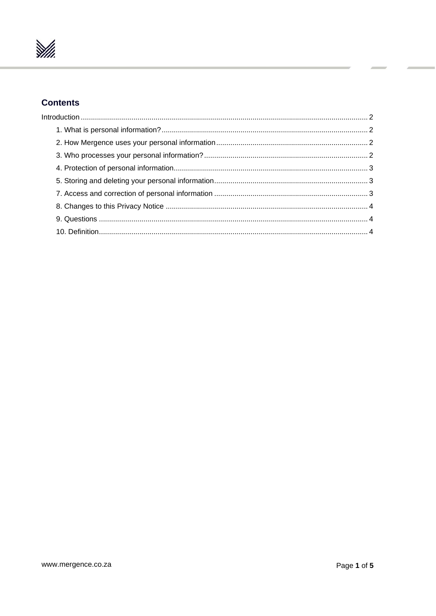

## **Contents**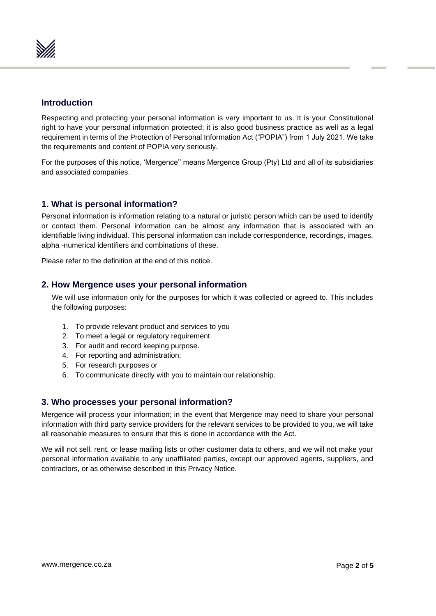

#### <span id="page-2-0"></span>**Introduction**

Respecting and protecting your personal information is very important to us. It is your Constitutional right to have your personal information protected; it is also good business practice as well as a legal requirement in terms of the Protection of Personal Information Act ("POPIA") from 1 July 2021. We take the requirements and content of POPIA very seriously.

For the purposes of this notice, 'Mergence'' means Mergence Group (Pty) Ltd and all of its subsidiaries and associated companies.

### <span id="page-2-1"></span>**1. What is personal information?**

Personal information is information relating to a natural or juristic person which can be used to identify or contact them. Personal information can be almost any information that is associated with an identifiable living individual. This personal information can include correspondence, recordings, images, alpha -numerical identifiers and combinations of these.

Please refer to the definition at the end of this notice.

#### <span id="page-2-2"></span>**2. How Mergence uses your personal information**

We will use information only for the purposes for which it was collected or agreed to. This includes the following purposes:

- 1. To provide relevant product and services to you
- 2. To meet a legal or regulatory requirement
- 3. For audit and record keeping purpose.
- 4. For reporting and administration;
- 5. For research purposes or
- 6. To communicate directly with you to maintain our relationship.

#### <span id="page-2-3"></span>**3. Who processes your personal information?**

Mergence will process your information; in the event that Mergence may need to share your personal information with third party service providers for the relevant services to be provided to you, we will take all reasonable measures to ensure that this is done in accordance with the Act.

We will not sell, rent, or lease mailing lists or other customer data to others, and we will not make your personal information available to any unaffiliated parties, except our approved agents, suppliers, and contractors, or as otherwise described in this Privacy Notice.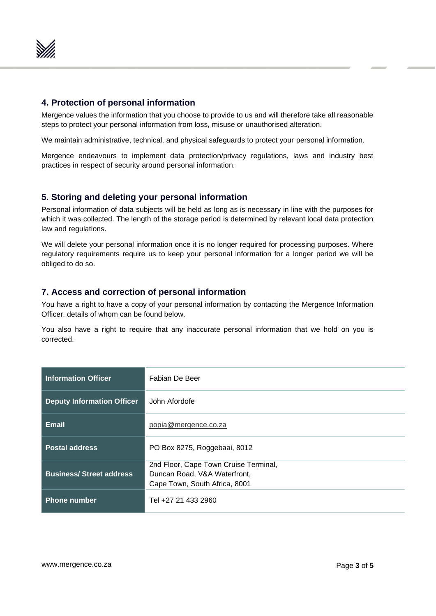

#### <span id="page-3-0"></span>**4. Protection of personal information**

Mergence values the information that you choose to provide to us and will therefore take all reasonable steps to protect your personal information from loss, misuse or unauthorised alteration.

We maintain administrative, technical, and physical safeguards to protect your personal information.

Mergence endeavours to implement data protection/privacy regulations, laws and industry best practices in respect of security around personal information.

#### <span id="page-3-1"></span>**5. Storing and deleting your personal information**

Personal information of data subjects will be held as long as is necessary in line with the purposes for which it was collected. The length of the storage period is determined by relevant local data protection law and regulations.

We will delete your personal information once it is no longer required for processing purposes. Where regulatory requirements require us to keep your personal information for a longer period we will be obliged to do so.

#### <span id="page-3-2"></span>**7. Access and correction of personal information**

You have a right to have a copy of your personal information by contacting the Mergence Information Officer, details of whom can be found below.

You also have a right to require that any inaccurate personal information that we hold on you is corrected.

| <b>Information Officer</b>        | Fabian De Beer                        |
|-----------------------------------|---------------------------------------|
| <b>Deputy Information Officer</b> | John Afordofe                         |
| Email                             | popia@mergence.co.za                  |
| <b>Postal address</b>             | PO Box 8275, Roggebaai, 8012          |
|                                   | 2nd Floor, Cape Town Cruise Terminal, |
| <b>Business/Street address</b>    | Duncan Road, V&A Waterfront,          |
|                                   | Cape Town, South Africa, 8001         |
| <b>Phone number</b>               | Tel +27 21 433 2960                   |